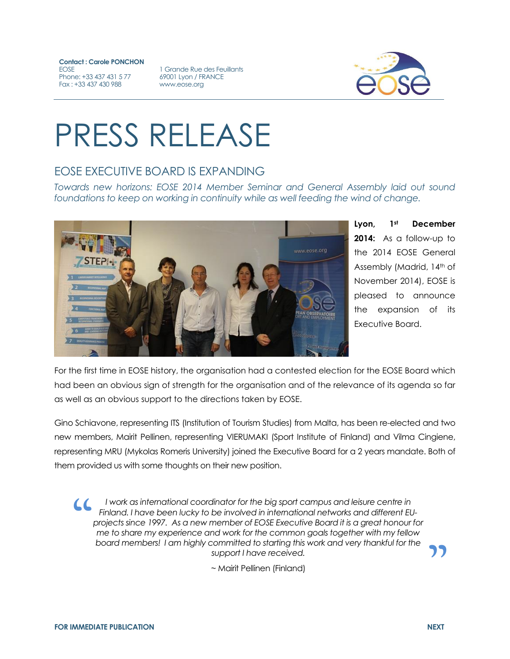**Contact : Carole PONCHON EOSE** Phone: +33 437 431 5 77 Fax : +33 437 430 988

1 Grande Rue des Feuillants 69001 Lyon / FRANCE www.eose.org



## PRESS RELEASE

## EOSE EXECUTIVE BOARD IS EXPANDING

*Towards new horizons: EOSE 2014 Member Seminar and General Assembly laid out sound foundations to keep on working in continuity while as well feeding the wind of change.*



**Lyon, 1st December 2014:** As a follow-up to the 2014 EOSE General Assembly (Madrid, 14th of November 2014), EOSE is pleased to announce the expansion of its Executive Board.

For the first time in EOSE history, the organisation had a contested election for the EOSE Board which had been an obvious sign of strength for the organisation and of the relevance of its agenda so far as well as an obvious support to the directions taken by EOSE.

Gino Schiavone, representing ITS (Institution of Tourism Studies) from Malta, has been re-elected and two new members, Mairit Pellinen, representing VIERUMAKI (Sport Institute of Finland) and Vilma Cingiene, representing MRU (Mykolas Romeris University) joined the Executive Board for a 2 years mandate. Both of them provided us with some thoughts on their new position.

*I* work as international coordinator for the big sport campus and leisure centre in *Finland. I have been lucky to be involved in international networks and different EUprojects since 1997. As a new member of EOSE Executive Board it is a great honour for me to share my experience and work for the common goals together with my fellow board members! I am highly committed to starting this work and very thankful for the support I have received.*  $\overline{\mathcal{L}}$ 

~ Mairit Pellinen (Finland)

**"**